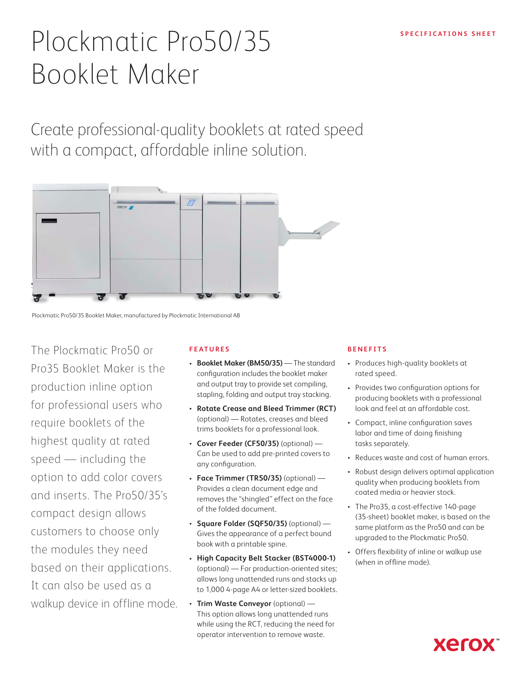# Plockmatic Pro50/35<sup>SPECIFICATIONS SHEET</sup> Booklet Maker

Create professional-quality booklets at rated speed with a compact, affordable inline solution.



Plockmatic Pro50/35 Booklet Maker, manufactured by Plockmatic International AB

The Plockmatic Pro50 or Pro35 Booklet Maker is the production inline option for professional users who require booklets of the highest quality at rated speed — including the option to add color covers and inserts. The Pro50/35's compact design allows customers to choose only the modules they need based on their applications. It can also be used as a walkup device in offline mode.

#### **FEATURES**

- **• Booklet Maker (BM50/35)**  The standard configuration includes the booklet maker and output tray to provide set compiling, stapling, folding and output tray stacking.
- **• Rotate Crease and Bleed Trimmer (RCT)** (optional) — Rotates, creases and bleed trims booklets for a professional look.
- **• Cover Feeder (CF50/35)** (optional) Can be used to add pre-printed covers to any configuration.
- **• Face Trimmer (TR50/35)** (optional) Provides a clean document edge and removes the "shingled" effect on the face of the folded document.
- **• Square Folder (SQF50/35)** (optional) Gives the appearance of a perfect bound book with a printable spine.
- **• High Capacity Belt Stacker (BST4000-1)** (optional) — For production-oriented sites; allows long unattended runs and stacks up to 1,000 4-page A4 or letter-sized booklets.
- **• Trim Waste Conveyor** (optional) This option allows long unattended runs while using the RCT, reducing the need for operator intervention to remove waste.

#### **BENEFITS**

- Produces high-quality booklets at rated speed.
- Provides two configuration options for producing booklets with a professional look and feel at an affordable cost.
- Compact, inline configuration saves labor and time of doing finishing tasks separately.
- Reduces waste and cost of human errors.
- Robust design delivers optimal application quality when producing booklets from coated media or heavier stock.
- The Pro35, a cost-effective 140-page (35-sheet) booklet maker, is based on the same platform as the Pro50 and can be upgraded to the Plockmatic Pro50.
- Offers flexibility of inline or walkup use (when in offline mode).